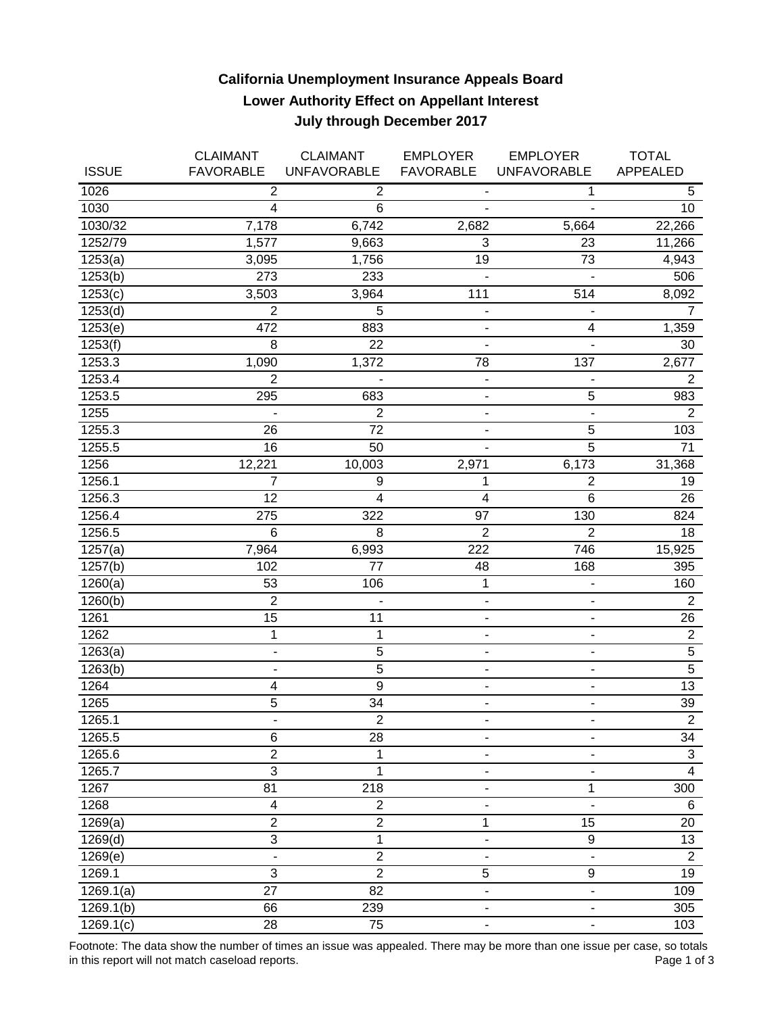## **California Unemployment Insurance Appeals Board Lower Authority Effect on Appellant Interest July through December 2017**

|                       | <b>CLAIMANT</b>              | <b>CLAIMANT</b>    | <b>EMPLOYER</b>              | <b>EMPLOYER</b>              | <b>TOTAL</b>    |
|-----------------------|------------------------------|--------------------|------------------------------|------------------------------|-----------------|
| <b>ISSUE</b>          | <b>FAVORABLE</b>             | <b>UNFAVORABLE</b> | <b>FAVORABLE</b>             | <b>UNFAVORABLE</b>           | <b>APPEALED</b> |
| 1026                  | $\overline{2}$               | $\overline{2}$     |                              | 1                            | 5               |
| 1030                  | 4                            | 6                  |                              |                              | 10 <sup>1</sup> |
| 1030/32               | 7,178                        | 6,742              | 2,682                        | 5,664                        | 22,266          |
| 1252/79               | 1,577                        | 9,663              | 3                            | 23                           | 11,266          |
| 1253(a)               | 3,095                        | 1,756              | 19                           | 73                           | 4,943           |
| 1253(b)               | 273                          | 233                | $\blacksquare$               | $\overline{a}$               | 506             |
| 1253(c)               | 3,503                        | 3,964              | 111                          | 514                          | 8,092           |
| 1253(d)               | $\overline{2}$               | 5                  | ۰                            |                              | $\overline{7}$  |
| 1253(e)               | 472                          | 883                | $\qquad \qquad \blacksquare$ | 4                            | 1,359           |
| 1253(f)               | 8                            | 22                 | $\blacksquare$               | $\blacksquare$               | 30              |
| 1253.3                | 1,090                        | 1,372              | 78                           | 137                          | 2,677           |
| 1253.4                | $\overline{2}$               |                    | $\blacksquare$               | $\blacksquare$               | $\overline{2}$  |
| 1253.5                | 295                          | 683                | $\blacksquare$               | 5                            | 983             |
| 1255                  |                              | $\overline{2}$     | $\overline{\phantom{a}}$     | $\blacksquare$               | $\overline{2}$  |
| 1255.3                | 26                           | 72                 | $\blacksquare$               | 5                            | 103             |
| 1255.5                | 16                           | 50                 |                              | $\overline{5}$               | 71              |
| 1256                  | 12,221                       | 10,003             | 2,971                        | 6,173                        | 31,368          |
| 1256.1                | 7                            | 9                  | 1                            | 2                            | 19              |
| 1256.3                | 12                           | 4                  | $\overline{4}$               | 6                            | 26              |
| 1256.4                | 275                          | 322                | 97                           | 130                          | 824             |
| 1256.5                | $6\phantom{1}6$              | 8                  | $\overline{2}$               | $\overline{2}$               | 18              |
| 1257(a)               | 7,964                        | 6,993              | 222                          | 746                          | 15,925          |
| 1257(b)               | 102                          | 77                 | 48                           | 168                          | 395             |
| 1260(a)               | 53                           | 106                | 1                            | $\overline{\phantom{0}}$     | 160             |
| 1260(b)               | $\overline{2}$               |                    | $\overline{\phantom{a}}$     | $\overline{\phantom{0}}$     | $\overline{2}$  |
| 1261                  | 15                           | 11                 | ٠                            | ۰                            | 26              |
| 1262                  | 1                            | 1                  | ٠                            | $\blacksquare$               | $\overline{c}$  |
| $\overline{1}$ 263(a) | $\blacksquare$               | 5                  | $\blacksquare$               | $\overline{\phantom{0}}$     | $\sqrt{5}$      |
| 1263(b)               | $\overline{\phantom{a}}$     | $\overline{5}$     | $\overline{\phantom{a}}$     | $\overline{\phantom{a}}$     | $\overline{5}$  |
| 1264                  | $\overline{\mathbf{4}}$      | $\overline{9}$     | ۰                            | $\qquad \qquad \blacksquare$ | 13              |
| 1265                  | 5                            | 34                 | $\blacksquare$               | -                            | 39              |
| 1265.1                | ٠                            | $\overline{2}$     |                              |                              | $\overline{2}$  |
| 1265.5                | 6                            | 28                 | ٠                            | $\overline{\phantom{a}}$     | 34              |
| 1265.6                | $\overline{2}$               | 1                  |                              |                              | $\mathbf{3}$    |
| 1265.7                | $\overline{3}$               | 1                  |                              |                              | $\overline{4}$  |
| 1267                  | 81                           | 218                | ٠                            | 1                            | 300             |
| 1268                  | $\overline{\mathbf{4}}$      | $\overline{2}$     | ۰                            |                              | 6               |
| 1269(a)               | $\overline{2}$               | $\overline{2}$     | 1                            | $\overline{15}$              | 20              |
| 1269(d)               | $\overline{3}$               | $\mathbf 1$        |                              | 9                            | 13              |
| 1269(e)               | $\qquad \qquad \blacksquare$ | $\overline{c}$     | ۰                            | $\overline{\phantom{a}}$     | $\overline{2}$  |
| 1269.1                | 3                            | $\overline{2}$     | 5                            | 9                            | 19              |
| 1269.1(a)             | $\overline{27}$              | $\overline{82}$    |                              |                              | 109             |
| 1269.1(b)             | 66                           | 239                |                              | $\overline{\phantom{a}}$     | 305             |
| 1269.1(c)             | 28                           | 75                 | ٠                            | ۰                            | 103             |

Footnote: The data show the number of times an issue was appealed. There may be more than one issue per case, so totals<br>Page 1 of 3 in this report will not match caseload reports.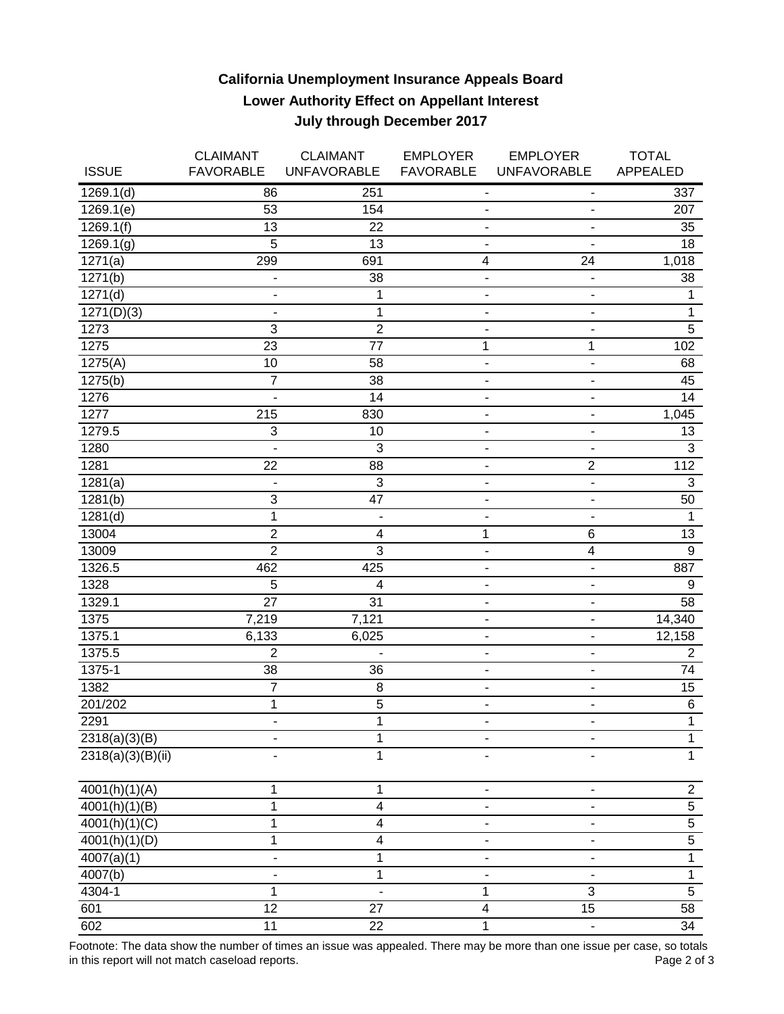## **California Unemployment Insurance Appeals Board Lower Authority Effect on Appellant Interest July through December 2017**

|                            | <b>CLAIMANT</b>           | <b>CLAIMANT</b>              | <b>EMPLOYER</b>              | <b>EMPLOYER</b>              | <b>TOTAL</b>    |
|----------------------------|---------------------------|------------------------------|------------------------------|------------------------------|-----------------|
| <b>ISSUE</b>               | <b>FAVORABLE</b>          | <b>UNFAVORABLE</b>           | <b>FAVORABLE</b>             | <b>UNFAVORABLE</b>           | APPEALED        |
| 1269.1(d)                  | 86                        | 251                          | $\qquad \qquad \blacksquare$ | $\overline{\phantom{a}}$     | 337             |
| 1269.1(e)                  | 53                        | 154                          | $\qquad \qquad \blacksquare$ | $\overline{\phantom{a}}$     | 207             |
| 1269.1(f)                  | 13                        | 22                           | $\overline{\phantom{a}}$     | $\overline{\phantom{a}}$     | 35              |
| 1269.1(g)                  | $\overline{5}$            | 13                           |                              | $\qquad \qquad \blacksquare$ | 18              |
| 1271(a)                    | 299                       | 691                          | 4                            | 24                           | 1,018           |
| 1271(b)                    | $\overline{\phantom{0}}$  | 38                           |                              | $\overline{\phantom{0}}$     | 38              |
| $\overline{127}1(d)$       | $\overline{\phantom{m}}$  | 1                            | $\overline{\phantom{a}}$     | $\overline{\phantom{a}}$     | $\mathbf{1}$    |
| $\overline{1271}$ (D)(3)   | $\blacksquare$            | 1                            | $\overline{\phantom{a}}$     | $\blacksquare$               | $\mathbf{1}$    |
| 1273                       | 3                         | $\overline{2}$               |                              | $\qquad \qquad \blacksquare$ | $\overline{5}$  |
| 1275                       | $\overline{23}$           | 77                           | 1                            | 1                            | 102             |
| 1275(A)                    | 10                        | 58                           | $\blacksquare$               | $\overline{\phantom{a}}$     | 68              |
| 1275(b)                    | $\overline{7}$            | 38                           | ٠                            | $\blacksquare$               | 45              |
| 1276                       |                           | 14                           |                              | $\overline{\phantom{0}}$     | 14              |
| 1277                       | 215                       | 830                          |                              | $\overline{\phantom{0}}$     | 1,045           |
| 1279.5                     | 3                         | 10                           |                              | -                            | 13              |
| 1280                       |                           | 3                            |                              | $\qquad \qquad \blacksquare$ | 3               |
| 1281                       | 22                        | 88                           |                              | $\overline{2}$               | $\frac{1}{12}$  |
| 1281(a)                    |                           | 3                            | $\blacksquare$               | $\overline{a}$               | 3               |
| 1281(b)                    | $\ensuremath{\mathsf{3}}$ | $\overline{47}$              | ÷,                           | $\blacksquare$               | 50              |
| 1281(d)                    | 1                         | $\qquad \qquad \blacksquare$ | -                            | $\overline{\phantom{a}}$     | $\mathbf{1}$    |
| 13004                      | $\overline{2}$            | 4                            | 1                            | 6                            | 13              |
| 13009                      | $\overline{2}$            | $\overline{3}$               | $\overline{\phantom{m}}$     | 4                            | $\overline{9}$  |
| 1326.5                     | 462                       | 425                          |                              | ä,                           | 887             |
| 1328                       | 5                         | 4                            |                              | $\overline{\phantom{0}}$     | 9               |
| 1329.1                     | 27                        | 31                           | ۰                            | $\qquad \qquad \blacksquare$ | 58              |
| 1375                       | 7,219                     | 7,121                        | $\overline{\phantom{a}}$     | $\blacksquare$               | 14,340          |
| 1375.1                     | 6,133                     | 6,025                        | $\qquad \qquad \blacksquare$ | $\blacksquare$               | 12,158          |
| 1375.5                     | $\overline{2}$            | L,                           | $\overline{\phantom{a}}$     | $\blacksquare$               | $\overline{2}$  |
| 1375-1                     | 38                        | 36                           | $\qquad \qquad \blacksquare$ | $\overline{\phantom{m}}$     | 74              |
| 1382                       | $\overline{7}$            | 8                            | $\overline{\phantom{a}}$     | $\blacksquare$               | $\overline{15}$ |
| 201/202                    | 1                         | 5                            | $\blacksquare$               | $\overline{\phantom{a}}$     | $\,6$           |
| 2291                       |                           | $\overline{1}$               |                              |                              | $\overline{1}$  |
| 2318(a)(3)(B)              |                           | 1                            |                              | $\qquad \qquad \blacksquare$ | $\overline{1}$  |
| $\sqrt{2318(a)}(3)(B)(ii)$ |                           | 1                            |                              |                              | $\overline{1}$  |
| $\sqrt{4001(h)(1)(A)}$     | 1                         | 1                            | $\blacksquare$               | $\overline{\phantom{a}}$     | $\overline{2}$  |
| 4001(h)(1)(B)              | 1                         | $\overline{\mathbf{4}}$      |                              |                              | $\overline{5}$  |
| 4001(h)(1)(C)              | 1                         | 4                            |                              | -                            | $\overline{5}$  |
| 4001(h)(1)(D)              | 1                         | 4                            |                              |                              | $\overline{5}$  |
| $\overline{4007}$ (a)(1)   |                           | 1                            |                              |                              | $\overline{1}$  |
| 4007(b)                    |                           | 1                            |                              |                              | $\mathbf{1}$    |
| 4304-1                     | 1                         |                              | 1                            | $\overline{3}$               | $\overline{5}$  |
| 601                        | $\overline{12}$           | 27                           | 4                            | $\overline{15}$              | 58              |
| 602                        | $\overline{11}$           | 22                           | 1                            |                              | $\overline{34}$ |

Footnote: The data show the number of times an issue was appealed. There may be more than one issue per case, so totals<br>Page 2 of 3 in this report will not match caseload reports.